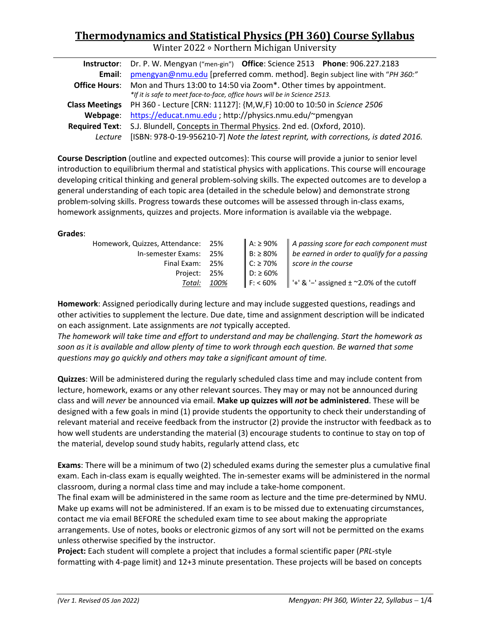# **Thermodynamics and Statistical Physics (PH 360) Course Syllabus**

Winter 2022 ∘ Northern Michigan University

|          | Instructor: Dr. P. W. Mengyan ("men-gin") Office: Science 2513 Phone: 906.227.2183          |  |  |
|----------|---------------------------------------------------------------------------------------------|--|--|
| Email:   | pmengyan@nmu.edu [preferred comm. method]. Begin subject line with "PH 360:"                |  |  |
|          | <b>Office Hours:</b> Mon and Thurs 13:00 to 14:50 via Zoom*. Other times by appointment.    |  |  |
|          | *If it is safe to meet face-to-face, office hours will be in Science 2513.                  |  |  |
|          | Class Meetings PH 360 - Lecture [CRN: 11127]: {M,W,F} 10:00 to 10:50 in Science 2506        |  |  |
| Webpage: | https://educat.nmu.edu ; http://physics.nmu.edu/~pmengyan                                   |  |  |
|          | Required Text: S.J. Blundell, Concepts in Thermal Physics. 2nd ed. (Oxford, 2010).          |  |  |
|          | Lecture [ISBN: 978-0-19-956210-7] Note the latest reprint, with corrections, is dated 2016. |  |  |

**Course Description** (outline and expected outcomes): This course will provide a junior to senior level introduction to equilibrium thermal and statistical physics with applications. This course will encourage developing critical thinking and general problem-solving skills. The expected outcomes are to develop a general understanding of each topic area (detailed in the schedule below) and demonstrate strong problem-solving skills. Progress towards these outcomes will be assessed through in-class exams, homework assignments, quizzes and projects. More information is available via the webpage.

#### **Grades**:

| Homework, Quizzes, Attendance: 25% |      | $A: \ge 90\%$  | A passing score for each component must                                   |
|------------------------------------|------|----------------|---------------------------------------------------------------------------|
| In-semester Exams: 25%             |      | $B: \geq 80\%$ | $\parallel$ be earned in order to qualify for a passing                   |
| Final Exam: 25%                    |      | $C: \ge 70\%$  | score in the course                                                       |
| Project: 25%                       |      | $D: \geq 60\%$ |                                                                           |
| Total:                             | 100% |                | $\parallel$ F: < 60% $\parallel$ '+' & '-' assigned ± ~2.0% of the cutoff |

**Homework**: Assigned periodically during lecture and may include suggested questions, readings and other activities to supplement the lecture. Due date, time and assignment description will be indicated on each assignment. Late assignments are *not* typically accepted.

*The homework will take time and effort to understand and may be challenging. Start the homework as soon as it is available and allow plenty of time to work through each question. Be warned that some questions may go quickly and others may take a significant amount of time.*

**Quizzes**: Will be administered during the regularly scheduled class time and may include content from lecture, homework, exams or any other relevant sources. They may or may not be announced during class and will *never* be announced via email. **Make up quizzes will** *not* **be administered**. These will be designed with a few goals in mind (1) provide students the opportunity to check their understanding of relevant material and receive feedback from the instructor (2) provide the instructor with feedback as to how well students are understanding the material (3) encourage students to continue to stay on top of the material, develop sound study habits, regularly attend class, etc

**Exams**: There will be a minimum of two (2) scheduled exams during the semester plus a cumulative final exam. Each in-class exam is equally weighted. The in-semester exams will be administered in the normal classroom, during a normal class time and may include a take-home component.

The final exam will be administered in the same room as lecture and the time pre-determined by NMU. Make up exams will not be administered. If an exam is to be missed due to extenuating circumstances, contact me via email BEFORE the scheduled exam time to see about making the appropriate arrangements. Use of notes, books or electronic gizmos of any sort will not be permitted on the exams unless otherwise specified by the instructor.

**Project:** Each student will complete a project that includes a formal scientific paper (*PRL*-style formatting with 4-page limit) and 12+3 minute presentation. These projects will be based on concepts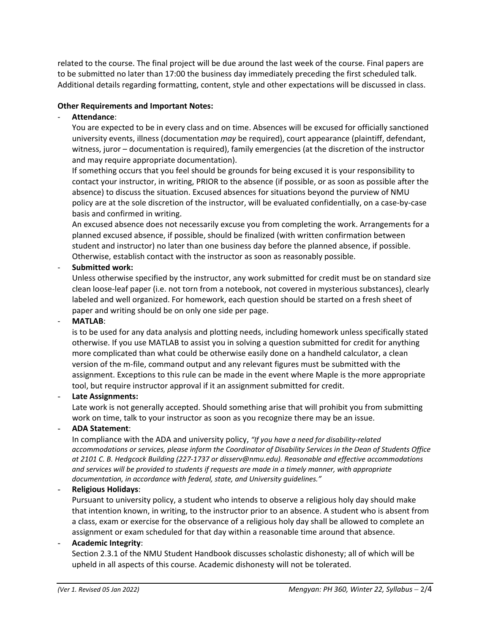related to the course. The final project will be due around the last week of the course. Final papers are to be submitted no later than 17:00 the business day immediately preceding the first scheduled talk. Additional details regarding formatting, content, style and other expectations will be discussed in class.

### **Other Requirements and Important Notes:**

# - **Attendance**:

You are expected to be in every class and on time. Absences will be excused for officially sanctioned university events, illness (documentation *may* be required), court appearance (plaintiff, defendant, witness, juror – documentation is required), family emergencies (at the discretion of the instructor and may require appropriate documentation).

If something occurs that you feel should be grounds for being excused it is your responsibility to contact your instructor, in writing, PRIOR to the absence (if possible, or as soon as possible after the absence) to discuss the situation. Excused absences for situations beyond the purview of NMU policy are at the sole discretion of the instructor, will be evaluated confidentially, on a case-by-case basis and confirmed in writing.

An excused absence does not necessarily excuse you from completing the work. Arrangements for a planned excused absence, if possible, should be finalized (with written confirmation between student and instructor) no later than one business day before the planned absence, if possible. Otherwise, establish contact with the instructor as soon as reasonably possible.

### - **Submitted work:**

Unless otherwise specified by the instructor, any work submitted for credit must be on standard size clean loose-leaf paper (i.e. not torn from a notebook, not covered in mysterious substances), clearly labeled and well organized. For homework, each question should be started on a fresh sheet of paper and writing should be on only one side per page.

#### - **MATLAB**:

is to be used for any data analysis and plotting needs, including homework unless specifically stated otherwise. If you use MATLAB to assist you in solving a question submitted for credit for anything more complicated than what could be otherwise easily done on a handheld calculator, a clean version of the m-file, command output and any relevant figures must be submitted with the assignment. Exceptions to this rule can be made in the event where Maple is the more appropriate tool, but require instructor approval if it an assignment submitted for credit.

### - **Late Assignments:**

Late work is not generally accepted. Should something arise that will prohibit you from submitting work on time, talk to your instructor as soon as you recognize there may be an issue.

### - **ADA Statement**:

In compliance with the ADA and university policy, *"If you have a need for disability-related accommodations or services, please inform the Coordinator of Disability Services in the Dean of Students Office at 2101 C. B. Hedgcock Building (227-1737 or disserv@nmu.edu). Reasonable and effective accommodations and services will be provided to students if requests are made in a timely manner, with appropriate documentation, in accordance with federal, state, and University guidelines."*

### - **Religious Holidays**:

Pursuant to university policy, a student who intends to observe a religious holy day should make that intention known, in writing, to the instructor prior to an absence. A student who is absent from a class, exam or exercise for the observance of a religious holy day shall be allowed to complete an assignment or exam scheduled for that day within a reasonable time around that absence.

### - **Academic Integrity**:

Section 2.3.1 of the NMU Student Handbook discusses scholastic dishonesty; all of which will be upheld in all aspects of this course. Academic dishonesty will not be tolerated.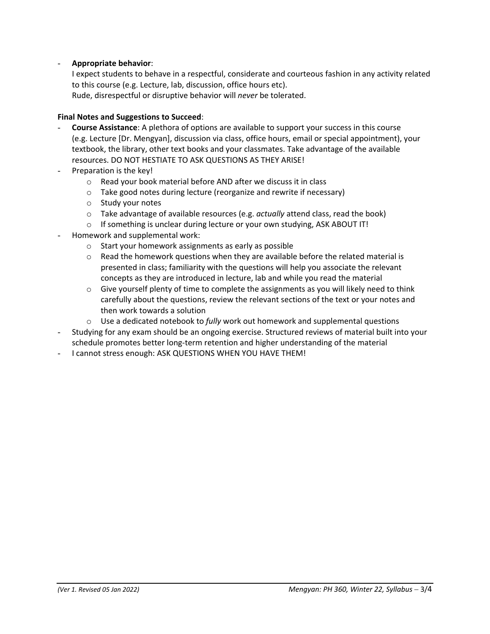#### - **Appropriate behavior**:

I expect students to behave in a respectful, considerate and courteous fashion in any activity related to this course (e.g. Lecture, lab, discussion, office hours etc). Rude, disrespectful or disruptive behavior will *never* be tolerated.

#### **Final Notes and Suggestions to Succeed**:

- **Course Assistance**: A plethora of options are available to support your success in this course (e.g. Lecture [Dr. Mengyan], discussion via class, office hours, email or special appointment), your textbook, the library, other text books and your classmates. Take advantage of the available resources. DO NOT HESTIATE TO ASK QUESTIONS AS THEY ARISE!
- Preparation is the key!
	- o Read your book material before AND after we discuss it in class
	- o Take good notes during lecture (reorganize and rewrite if necessary)
	- o Study your notes
	- o Take advantage of available resources (e.g. *actually* attend class, read the book)
	- o If something is unclear during lecture or your own studying, ASK ABOUT IT!
- Homework and supplemental work:
	- o Start your homework assignments as early as possible
	- $\circ$  Read the homework questions when they are available before the related material is presented in class; familiarity with the questions will help you associate the relevant concepts as they are introduced in lecture, lab and while you read the material
	- $\circ$  Give yourself plenty of time to complete the assignments as you will likely need to think carefully about the questions, review the relevant sections of the text or your notes and then work towards a solution
	- o Use a dedicated notebook to *fully* work out homework and supplemental questions
- Studying for any exam should be an ongoing exercise. Structured reviews of material built into your schedule promotes better long-term retention and higher understanding of the material
- I cannot stress enough: ASK QUESTIONS WHEN YOU HAVE THEM!